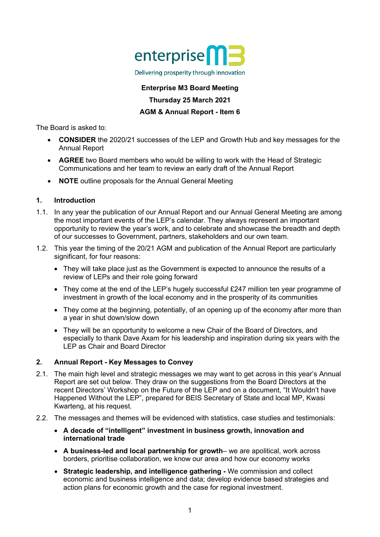

#### Delivering prosperity through innovation

# **Enterprise M3 Board Meeting Thursday 25 March 2021 AGM & Annual Report - Item 6**

The Board is asked to:

- **CONSIDER** the 2020/21 successes of the LEP and Growth Hub and key messages for the Annual Report
- **AGREE** two Board members who would be willing to work with the Head of Strategic Communications and her team to review an early draft of the Annual Report
- **NOTE** outline proposals for the Annual General Meeting

## **1. Introduction**

- 1.1. In any year the publication of our Annual Report and our Annual General Meeting are among the most important events of the LEP's calendar. They always represent an important opportunity to review the year's work, and to celebrate and showcase the breadth and depth of our successes to Government, partners, stakeholders and our own team.
- 1.2. This year the timing of the 20/21 AGM and publication of the Annual Report are particularly significant, for four reasons:
	- They will take place just as the Government is expected to announce the results of a review of LEPs and their role going forward
	- They come at the end of the LEP's hugely successful £247 million ten year programme of investment in growth of the local economy and in the prosperity of its communities
	- They come at the beginning, potentially, of an opening up of the economy after more than a year in shut down/slow down
	- They will be an opportunity to welcome a new Chair of the Board of Directors, and especially to thank Dave Axam for his leadership and inspiration during six years with the LEP as Chair and Board Director

# **2. Annual Report - Key Messages to Convey**

- 2.1. The main high level and strategic messages we may want to get across in this year's Annual Report are set out below. They draw on the suggestions from the Board Directors at the recent Directors' Workshop on the Future of the LEP and on a document, "It Wouldn't have Happened Without the LEP", prepared for BEIS Secretary of State and local MP, Kwasi Kwarteng, at his request.
- 2.2. The messages and themes will be evidenced with statistics, case studies and testimonials:
	- **A decade of "intelligent" investment in business growth, innovation and international trade**
	- **A business-led and local partnership for growth** we are apolitical, work across borders, prioritise collaboration, we know our area and how our economy works
	- **Strategic leadership, and intelligence gathering -** We commission and collect economic and business intelligence and data; develop evidence based strategies and action plans for economic growth and the case for regional investment.